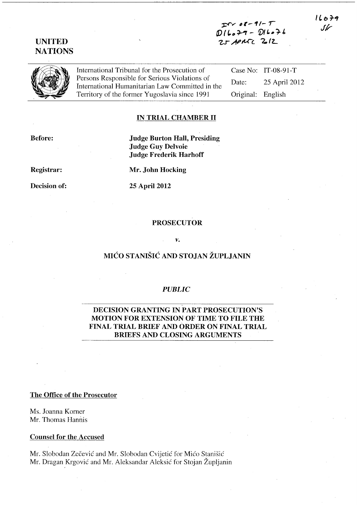$TV 08 - 91 - T$  $D(L_0+1-DL_0)+L_1$  $25$  APMTC  $2012$ 

International Tribunal for the Prosecution of Persons Responsible for Serious Violations of International Humanitarian Law Committed in the Territory of the former Yugoslavia since 1991

Case No: IT-08-91-T Date: 25 April 2012 Original: English

### **IN TRIAL CHAMBER 11**

**Before:** 

**Judge Burton Hall, Presiding Judge Guy Delvoie Judge Frederik Harhoff** 

**Registrar:** 

**Decision of:** 

**25 April 2012** 

**Mr. John Hocking** 

#### **PROSECUTOR**

#### *v.*

## **MICO STANISIC AND STOJAN ZUPLJANIN**

### *PUBLIC*

# - **DECISION GRANTING IN PART PROSECUTION'S MOTION FOR EXTENSION OF TIME TO FILE THE FINAL TRIAL BRIEF AND ORDER ON FINAL TRIAL BRIEFS AND CLOSING ARGUMENTS**

#### **The Office of the Prosecutor**

Ms. Joanna Korner Mr. Thomas Hannis

#### **Counsel for the Accused**

Mr. Slobodan Zečević and Mr. Slobodan Cvijetić for Mićo Stanišić Mr. Dragan Krgovic and Mr. Aleksandar Aleksic for Stojan Zupljanin

# **UNITED NATIONS**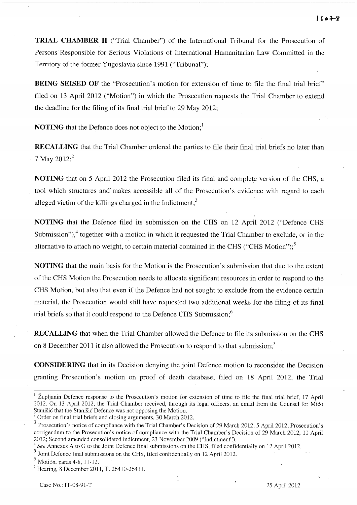**TRIAL CHAMBER 11** ("Trial Chamber") of the International Tribunal for the Prosecution of Persons Responsible for Serious Violations of International Humanitarian Law Committed in the Territory of the former Yugoslavia since 1991 ("Tribunal");

**BEING SEISED OF** the "Prosecution's motion for extension of time to file the final trial brief" filed on 13 April 2012 ("Motion") in which the Prosecution requests the Trial Chamber to extend the deadline for the filing of its final trial brief to 29 May 2012;

**NOTING** that the Defence does not object to the Motion;<sup>1</sup>

**RECALLING** that the Trial Chamber ordered the parties to file their final trial briefs no later than 7 May 2012;<sup>2</sup>

**NOTING** that on 5 April 2012 the Prosecution filed its final and complete version of the CHS, a tool which structures and'makes accessible all of the Prosecution's evidence with regard to each alleged victim of the killings charged in the Indictment;<sup>3</sup>

**NOTING** that the Defence filed its submission on the CHS on 12 April 2012 ("Defence CHS. Submission"), $4$  together with a motion in which it requested the Trial Chamber to exclude, or in the alternative to attach no weight, to certain material contained in the CHS ("CHS Motion");<sup>5</sup>

**NOTING** that the main basis for the Motion is the Prosecution's submission that due to the extent of the CHS Motion the Prosecution needs to allocate significant resources in order to respond to the CHS Motion, but also that even if the Defence had not sought to exclude from the evidence certain material, the Prosecution would still have requested two additional weeks for the filing of its final trial briefs so that it could respond to the Defence CHS Submission;<sup>6</sup>

**RECALLING** that when the Trial Chamber allowed the Defence to file its submission on the CHS on 8 December 2011 it also allowed the Prosecution to respond to that submission;<sup>7</sup>

**CONSIDERING** that in its Decision denying the joint Defence motion to reconsider the Decision granting Prosecution's motion on proof of death database, filed on 18 April 2012, the Trial

 $1$  Župljanin Defence response to the Prosecution's motion for extension of time to file the final trial brief, 17 April 2012. On l3 April 2012, the Trial Chamber received, through its legal officers, an email from the Counsel for Mico Stanisic that the Stanisic Defence was not opposing the Motion.

<sup>2</sup> Order on final trial briefs and closing arguments, 30 March 2012.

<sup>&</sup>lt;sup>3</sup> Prosecution's notice of compliance with the Trial Chamber's Decision of 29 March 2012, 5 April 2012; Prosecution's corrigendum to the Prosecution's notice of compliance with the Trial Chamber's Decision of 29 March 2012, 11 April 2012; Second amended consolidated indictment, 23 November 2009 ("Indictment").

<sup>4</sup>*See* Annexes A to G to the Joint Defence final submissions on the CHS, filed confidentially on 12 April 2012.

 $<sup>5</sup>$  Joint Defence final submissions on the CHS, filed confidentially on 12 April 2012.</sup>

 $<sup>6</sup>$  Motion, paras 4-8, 11-12.</sup>

<sup>&</sup>lt;sup>7</sup> Hearing, 8 December 2011, T. 26410-26411.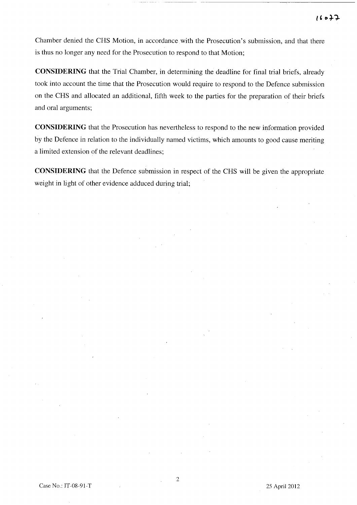Chamber denied the CHS Motion, in accordance with the Prosecution's submission, and that there is thus no longer any need for the Prosecution to respond to that Motion;

**CONSIDERING** that the Trial Chamber, in determining the deadline for final trial briefs, already took into account the time that the Prosecution would require to respond to the Defence submission on the CHS and allocated an additional, fifth week to the parties for the preparation of their briefs and oral arguments;

**CONSIDERING** that the Prosecution has nevertheless to respond to the new information provided by the Defence in relation to the individually named victims, which amounts to good cause meriting a limited extension of the relevant deadlines;

**CONSIDERING** that the Defence submission in respect of the CHS will be given the appropriate weight in light of other evidence adduced during trial;